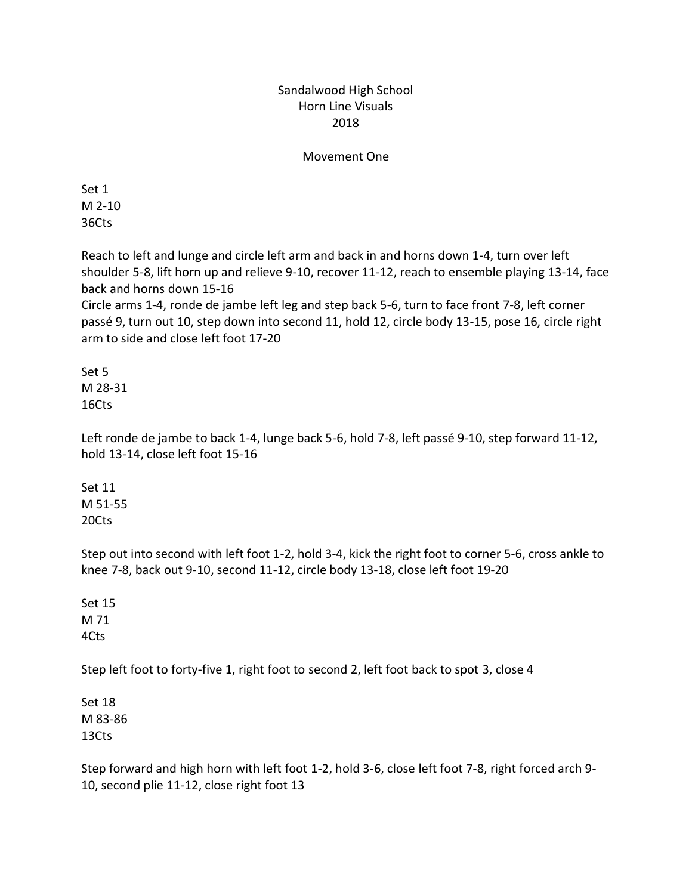## Sandalwood High School Horn Line Visuals 2018

## Movement One

Set 1 M 2-10 36Cts

Reach to left and lunge and circle left arm and back in and horns down 1-4, turn over left shoulder 5-8, lift horn up and relieve 9-10, recover 11-12, reach to ensemble playing 13-14, face back and horns down 15-16

Circle arms 1-4, ronde de jambe left leg and step back 5-6, turn to face front 7-8, left corner passé 9, turn out 10, step down into second 11, hold 12, circle body 13-15, pose 16, circle right arm to side and close left foot 17-20

Set 5 M 28-31 16Cts

Left ronde de jambe to back 1-4, lunge back 5-6, hold 7-8, left passé 9-10, step forward 11-12, hold 13-14, close left foot 15-16

Set 11 M 51-55 20Cts

Step out into second with left foot 1-2, hold 3-4, kick the right foot to corner 5-6, cross ankle to knee 7-8, back out 9-10, second 11-12, circle body 13-18, close left foot 19-20

Set 15 M 71 4Cts

Step left foot to forty-five 1, right foot to second 2, left foot back to spot 3, close 4

Set 18 M 83-86 13Cts

Step forward and high horn with left foot 1-2, hold 3-6, close left foot 7-8, right forced arch 9- 10, second plie 11-12, close right foot 13